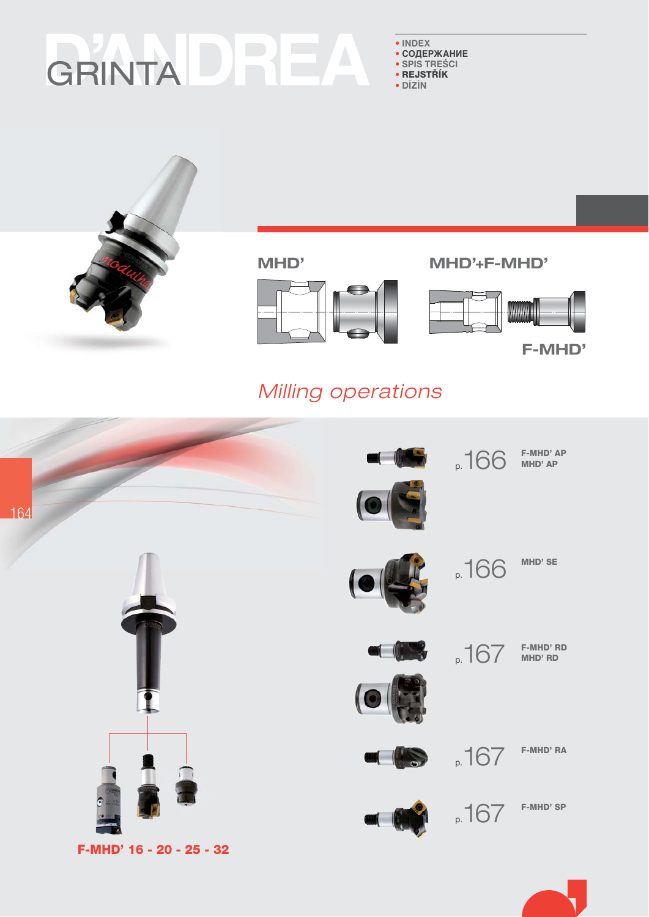# GRINTADRE  $\Delta$

 $\bullet$  INDEX

- СОДЕРЖАНИЕ · SPIS TREŚCI
- · REJSTŘÍK
- · DİZİN

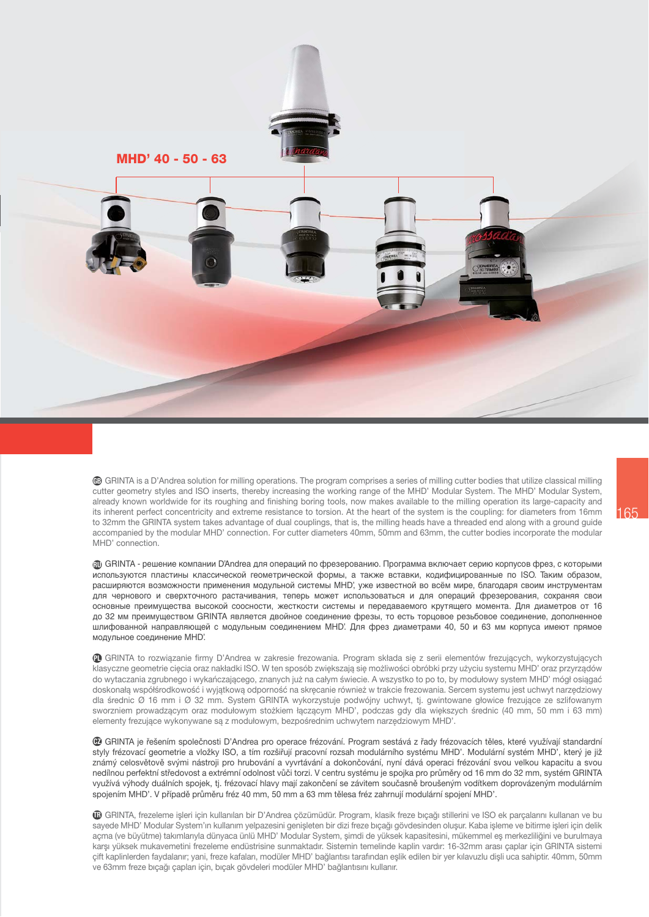

**6** GRINTA is a D'Andrea solution for milling operations. The program comprises a series of milling cutter bodies that utilize classical milling cutter geometry styles and ISO inserts, thereby increasing the working range of the MHD' Modular System. The MHD' Modular System, already known worldwide for its roughing and finishing boring tools, now makes available to the milling operation its large-capacity and its inherent perfect concentricity and extreme resistance to torsion. At the heart of the system is the coupling: for diameters from 16mm to 32mm the GRINTA system takes advantage of dual couplings, that is, the milling heads have a threaded end along with a ground guide accompanied by the modular MHD' connection. For cutter diameters 40mm, 50mm and 63mm, the cutter bodies incorporate the modular MHD' connection.

**@** GRINTA - решение компании D'Andrea для операций по фрезерованию. Программа включает серию корпусов фрез, с которыми используются пластины классической геометрической формы, а также вставки, кодифицированные по ISO. Таким образом, расширяются возможности применения модульной системы МНD', уже известной во всём мире, благодаря своим инструментам для чернового и сверхточного растачивания, теперь может использоваться и для операций фрезерования, сохраняя свои основные преимущества высокой соосности, жесткости системы и передаваемого крутящего момента. Для диаметров от 16 до 32 мм преимуществом GRINTA является двойное соединение фрезы, то есть торцовое резьбовое соединение, дополненное шлифованной направляющей с модульным соединением МНD'. Для фрез диаметрами 40, 50 и 63 мм корпуса имеют прямое модульное соединение МНD'.

@ GRINTA to rozwiązanie firmy D'Andrea w zakresie frezowania. Program składa się z serii elementów frezujących, wykorzystujących klasyczne geometrie cięcia oraz nakładki ISO. W ten sposób zwiększają się możliwości obróbki przy użyciu systemu MHD' oraz przyrządów do wytaczania zgrubnego i wykańczającego, znanych już na całym świecie. A wszystko to po to, by modułowy system MHD' mógł osiągać doskonałą współśrodkowość i wyjątkową odporność na skrecanie również w trakcie frezowania. Sercem systemu jest uchwyt narzedziowy dla średnic Ø 16 mm i Ø 32 mm. System GRINTA wykorzystuje podwójny uchwyt, tj. gwintowane głowice frezujące ze szlifowanym sworzniem prowadzącym oraz modułowym stożkiem łączącym MHD', podczas gdy dla większych średnic (40 mm, 50 mm i 63 mm) elementy frezujące wykonywane są z modułowym, bezpośrednim uchwytem narzędziowym MHD'.

® GRINTA je řešením společnosti D'Andrea pro operace frézování. Program sestává z řady frézovacích těles, které využívají standardní styly frézovací geometrie a vložky ISO, a tím rozšiřují pracovní rozsah modulárního systému MHD'. Modulární systém MHD', který je již známý celosvětově svými nástroji pro hrubování a vyvrtávání a dokončování, nyní dává operaci frézování svou velkou kapacitu a svou nedílnou perfektní středovost a extrémní odolnost vůči torzi. V centru systému je spojka pro průměry od 16 mm do 32 mm, systém GRINTA využívá výhody duálních spojek, tj. frézovací hlavy mají zakončení se závitem současně broušeným vodítkem doprovázeným modulárním spojením MHD'. V případě průměru fréz 40 mm, 50 mm a 63 mm tělesa fréz zahrnují modulární spojení MHD'.

® GRINTA, frezeleme işleri için kullanılan bir D'Andrea çözümüdür. Program, klasik freze bıçağı stillerini ve ISO ek parçalarını kullanan ve bu sayede MHD' Modular System'ın kullanım yelpazesini genişleten bir dizi freze bıçağı gövdesinden oluşur. Kaba işleme ve bitirme işleri için delik açma (ve büyütme) takımlarıyla dünyaca ünlü MHD' Modular System, şimdi de yüksek kapasitesini, mükemmel eş merkezliliğini ve burulmaya karşı yüksek mukavemetini frezeleme endüstrisine sunmaktadır. Sistemin temelinde kaplin vardır: 16-32mm arası çaplar için GRINTA sistemi cift kaplinlerden faydalanır; yani, freze kafaları, modüler MHD' bağlantısı tarafından eslik edilen bir yer kılayuzlu disli uca sahiptir. 40mm, 50mm ve 63mm freze bıcağı capları için, bıcak gövdeleri modüler MHD' bağlantısını kullanır.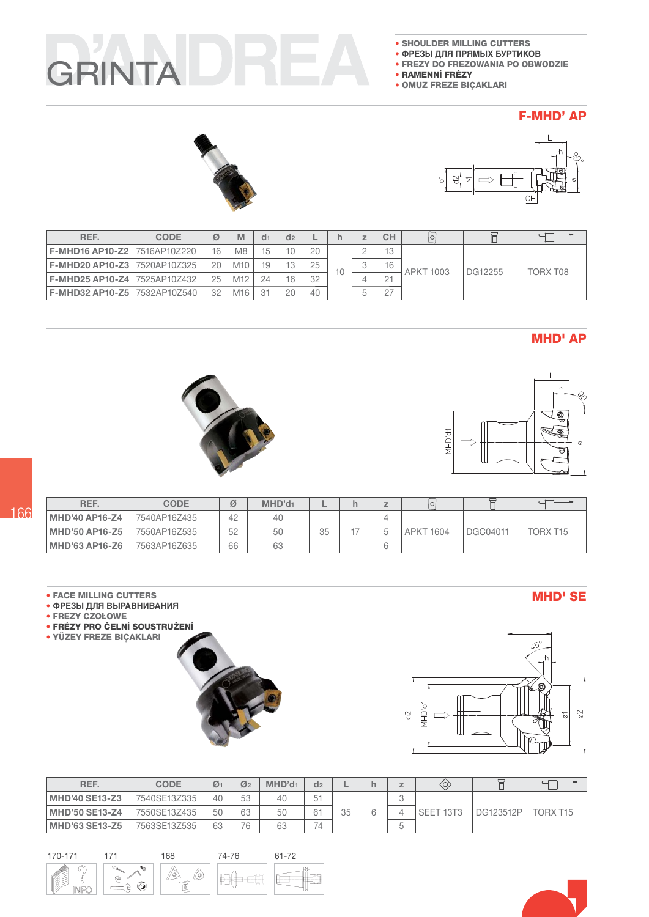# GRINTA

- SHOULDER MILLING CUTTERS
- ФРЕЗЫ ДЛЯ ПРЯМЫХ БУРТИКОВ
- FREZY DO FREZOWANIA PO OBWODZIE
- RAMENNÍ FRÉZY
- · OMUZ FREZE BIÇAKLARI

#### **F-MHD' AP**





| REF.                                  | <b>CODE</b> | Ø  | М   | d <sub>1</sub> | d <sub>2</sub> |    |    |        | <b>CH</b>       | $\circ$   |         |          |
|---------------------------------------|-------------|----|-----|----------------|----------------|----|----|--------|-----------------|-----------|---------|----------|
| <b>F-MHD16 AP10-Z2 17516AP10Z220</b>  |             | 16 | M8  |                | 10             | 20 |    |        | $\overline{10}$ |           |         |          |
| <b>F-MHD20 AP10-Z3 17520AP10Z325</b>  |             | 20 | M10 |                | 13             | 25 | 10 | $\sim$ | 16              | APKT 1003 | DG12255 | TORX T08 |
| <b>F-MHD25 AP10-Z4 17525AP10Z432</b>  |             | 25 | M12 | 24             | 16             | 32 |    |        | $\cap$ -1       |           |         |          |
| <b>F-MHD32 AP10-Z5   7532AP10Z540</b> |             | 32 | M16 | -31            | 20             | 40 |    | h      | 07              |           |         |          |

### **MHD' AP**





| REF.                  | <b>CODE</b>  | Ø  | MHD'd <sub>1</sub> |    | ı | ΙO               |          |          |
|-----------------------|--------------|----|--------------------|----|---|------------------|----------|----------|
| <b>MHD'40 AP16-Z4</b> | 7540AP16Z435 | 42 | 40                 |    |   |                  |          |          |
| MHD'50 AP16-Z5        | 7550AP16Z535 | 52 | 50                 | 35 |   | <b>APKT 1604</b> | DGC04011 | TORX T15 |
| MHD'63 AP16-Z6        | 7563AP16Z635 | 66 | 63                 |    |   |                  |          |          |

#### **• FACE MILLING CUTTERS**

- ФРЕЗЫ ДЛЯ ВЫРАВНИВАНИЯ
- · FREZY CZOŁOWE
- · FRÉZY PRO ČELNÍ SOUSTRUŽENÍ
- YÜZEY FREZE BIÇAKLARI



| REF.                  | <b>CODE</b>  | $\mathcal{O}_1$ | $\mathcal{O}_2$ | MHD'd <sub>1</sub> | d <sub>2</sub> |    |   |   |           |           |          |
|-----------------------|--------------|-----------------|-----------------|--------------------|----------------|----|---|---|-----------|-----------|----------|
| <b>MHD'40 SE13-Z3</b> | 7540SE13Z335 | 40              | 53              | 40                 | 51             |    |   |   |           |           |          |
| <b>MHD'50 SE13-Z4</b> | 7550SE13Z435 | 50              | 63              | 50                 | 61             | 35 | 6 |   | SEET 13T3 | DG123512P | TORX T15 |
| <b>MHD'63 SE13-Z5</b> | 7563SE13Z535 | 63              | 76              | 63                 | 74             |    |   | ∽ |           |           |          |



**MHD' SE** 



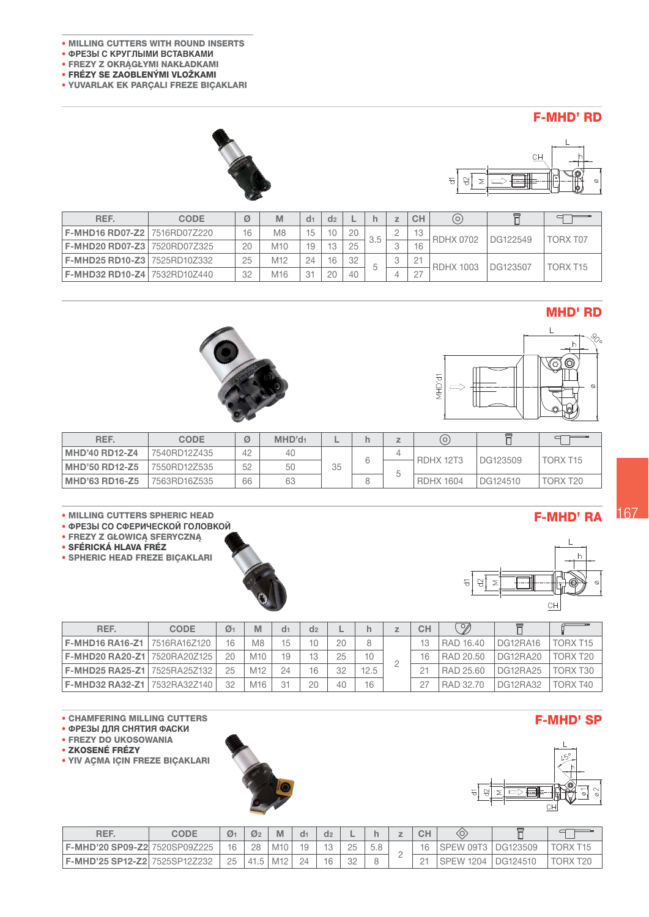- ÷ MILLING CUTTERS WITH ROUND INSERTS
- ÷ **ФРЕЗЫ С КРУГЛЫМИ ВСТАВКАМИ**
- FREZY Z OKRĄGŁYMI NAKŁADKAMI
- FRÉZY SE ZAOBLENÝMI VLOŽKAMI
- YUVARLAK EK PARÇALI FREZE BIÇAKLARI

#### F-MHD' RD





| REF.                                  | <b>CODE</b> | Ø  | M              | d <sub>1</sub> | d <sub>2</sub>  |    |     |             | CH     | O)               |          |          |
|---------------------------------------|-------------|----|----------------|----------------|-----------------|----|-----|-------------|--------|------------------|----------|----------|
| <b>F-MHD16 RD07-Z2   7516RD07Z220</b> |             | 16 | M <sub>8</sub> | 15             |                 | 20 | 3.5 | ∼           | 13     | <b>RDHX 0702</b> | DG122549 | TORX T07 |
| <b>F-MHD20 RD07-Z3 7520RD07Z325</b>   |             | 20 | M10            | 19             | $\overline{10}$ | 25 |     | u           | 16     |                  |          |          |
| <b>F-MHD25 RD10-Z3 7525RD10Z332</b>   |             | 25 | M12            | 24             | 16              | 32 |     | $\cap$<br>w | 21     | <b>RDHX 1003</b> | DG123507 | TORX T15 |
| <b>F-MHD32 RD10-Z4 7532RD10Z440</b>   |             | 32 | M16            | 31             | 20              | 40 |     |             | $\cap$ |                  |          |          |

#### MHD' RD





| REF.                  | <b>CODE</b>  | Ø  | MHD'd <sub>1</sub> | -  |  | Ω                |          |                      |
|-----------------------|--------------|----|--------------------|----|--|------------------|----------|----------------------|
| MHD'40 RD12-Z4        | 7540RD12Z435 | 42 | 40                 |    |  | RDHX 12T3        | DG123509 | TORX T <sub>15</sub> |
| <b>MHD'50 RD12-Z5</b> | 7550RD12Z535 | 52 | 50                 | 35 |  |                  |          |                      |
| <b>MHD'63 RD16-Z5</b> | 7563RD16Z535 | 66 | 63                 |    |  | <b>RDHX 1604</b> | DG124510 | TORX T20             |

#### ÷ MILLING CUTTERS SPHERIC HEAD

- ÷ **ФРЕЗЫ СО СФЕРИЧЕСКОЙ ГОЛОВКОЙ**
- FREZY Z GŁOWICĄ SFERYCZNĄ
- SFÉRICKÁ HLAVA FRÉZ

• FREZY DO UKOSOWANIA • ZKOSENÉ FRÉZY

• YIV AÇMA IÇIN FREZE BIÇAKLARI

• SPHERIC HEAD FREZE BIÇAKLARI





| REF.                                 | <b>CODE</b> | $\mathcal{O}_1$ |                 | d <sub>1</sub> | d <sub>2</sub> |    |      | CH       | Y         |                 |          |
|--------------------------------------|-------------|-----------------|-----------------|----------------|----------------|----|------|----------|-----------|-----------------|----------|
| <b>F-MHD16 RA16-Z1 17516RA16Z120</b> |             | 16              | M8              | 15             |                | 20 |      | 13       | RAD 16.40 | DG12RA16        | TORX T15 |
| F-MHD20 RA20-Z1 7520RA20Z125         |             | クハ              | M10             | 19             | 13             | 25 |      | 16       | RAD 20.50 | DG12RA20        | TORX T20 |
| F-MHD25 RA25-Z1 7525RA25Z132         |             | 25              | M <sub>12</sub> | 24             | 16             | 32 | 12.5 | $\cap$ 1 | RAD 25.60 | <b>DG12RA25</b> | TORX T30 |
| <b>F-MHD32 RA32-Z1 17532RA32Z140</b> |             | 32              | M <sub>16</sub> |                | 20             | 40 | 16   | 07       | RAD 32.70 | <b>DG12RA32</b> | TORX T40 |

# <sup>÷</sup> CHAMFERING MILLING CUTTERS F-MHD' SP <sup>÷</sup> **ФРЕЗЫ ДЛЯ СНЯТИЯ ФАСКИ**

F-MHD' RA





| REF.                                 | CODE | $\mathcal{O}_1$ | $\mathcal{Q}_2$ |                 | d1 | d <sub>2</sub> | −  |   | CН     |                           |          |         |
|--------------------------------------|------|-----------------|-----------------|-----------------|----|----------------|----|---|--------|---------------------------|----------|---------|
| F-MHD'20 SP09-Z2 7520SP09Z225        |      | 16              | 28              | M <sub>10</sub> |    |                |    |   | 16     | SPEW 09T3                 | DG123509 |         |
| <b>F-MHD'25 SP12-Z2 7525SP12Z232</b> |      | 25              | 41.5            | M <sub>12</sub> |    | 16             | 32 | - | $\sim$ | 1204<br>SPEW <sup>-</sup> | DG124510 | ORX T20 |

# 167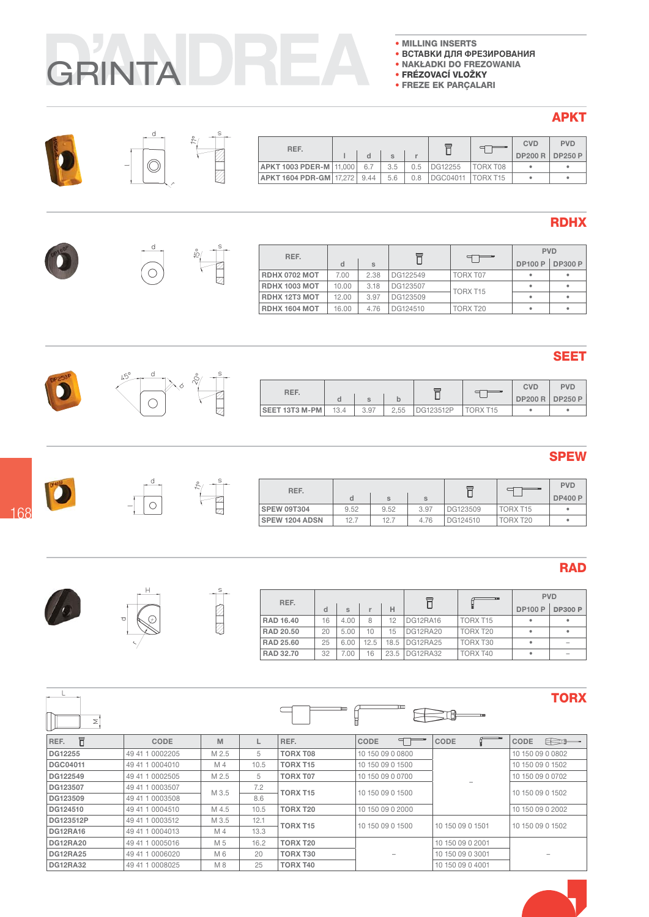- MILLING INSERTS
- ВСТАВКИ ДЛЯ ФРЕЗИРОВАНИЯ
- · NAKŁADKI DO FREZOWANIA
- · FRÉZOVACÍ VLOŽKY
- **FREZE EK PARÇALARI**

#### **APKT**

| REF.                      |      |     |     |                 |                 | <b>CVD</b> | <b>PVD</b>                 |
|---------------------------|------|-----|-----|-----------------|-----------------|------------|----------------------------|
|                           |      |     |     |                 |                 |            | <b>DP200 R   DP250 P  </b> |
| APKT 1003 PDER-M   11,000 | 6.7  | 3.5 | 0.5 | DG12255         | TORX T08        |            |                            |
| APKT 1604 PDR-GM 17.272   | 9.44 | 5.6 |     | <b>DGC04011</b> | <b>TORX T15</b> |            |                            |

### **RDHX**

| REF.                 |       |      |          |          |                | <b>PVD</b>     |
|----------------------|-------|------|----------|----------|----------------|----------------|
|                      |       | S    |          |          | <b>DP100 P</b> | <b>DP300 P</b> |
| RDHX 0702 MOT        | 7.00  | 2.38 | DG122549 | TORX T07 | ٠              |                |
| <b>RDHX 1003 MOT</b> | 10.00 | 3.18 | DG123507 | TORX T15 | ٠              |                |
| <b>RDHX 12T3 MOT</b> | 12.00 | 3.97 | DG123509 |          | ٠              |                |
| <b>RDHX 1604 MOT</b> | 16.00 | 4.76 | DG124510 | TORX T20 | ٠              |                |



| REF.           |      |      |      |           |          | <b>CVD</b>     | <b>PVD</b> |
|----------------|------|------|------|-----------|----------|----------------|------------|
|                |      |      |      |           |          | <b>DP200 R</b> | DP250 P    |
| SEET 13T3 M-PM | 13.4 | 3.97 | 2.55 | DG123512P | TORX T15 |                |            |

#### **SPEW**

| REF.               |      |      |      | ᆮ        |                 | <b>PVD</b>     |
|--------------------|------|------|------|----------|-----------------|----------------|
|                    | d    | S    | S    |          |                 | <b>DP400 P</b> |
| <b>SPEW 09T304</b> | 9.52 | 9.52 | 3.97 | DG123509 | <b>TORX T15</b> | ٠              |
| SPEW 1204 ADSN     | 12.7 | 12.7 | 4.76 | DG124510 | TORX T20        | ٠              |

# **RAD**

| REF.             |    |      |      |      | ᇀ               |                      | <b>PVD</b>     |                |
|------------------|----|------|------|------|-----------------|----------------------|----------------|----------------|
|                  | d  | S    |      | Н    |                 |                      | <b>DP100 P</b> | <b>DP300 P</b> |
| <b>RAD 16.40</b> | 16 | 4.00 | 8    | 12   | DG12RA16        | TORX T <sub>15</sub> |                | ٠              |
| RAD 20.50        | 20 | 5.00 | 10   | 15   | <b>DG12RA20</b> | TORX T20             |                | ٠              |
| RAD 25.60        | 25 | 6.00 | 12.5 |      | 18.5 DG12RA25   | TORX T30             |                | $\sim$         |
| RAD 32.70        | 32 | 7.00 | 16   | 23.5 | DG12RA32        | TORX T40             |                | $\sim$         |

# **TORX**

|         |       |   | ⊏        |                  |    |      |                  |     |
|---------|-------|---|----------|------------------|----|------|------------------|-----|
| CODE    | M     |   | REF.     | <b>CODE</b>      | 9. | CODE | CODE             | E B |
| 0002205 | M 2.5 | 5 | TORX T08 | 10 150 09 0 0800 |    |      | 10 150 09 0 0802 |     |
|         |       |   |          |                  |    |      |                  |     |

| KEF.            | <b>GODE</b>     | <b>IVI</b> |      | KEF.            | <b>GUDE</b>      | <b>GUDE</b>      | <b>GUDE</b><br>$\epsilon$ |
|-----------------|-----------------|------------|------|-----------------|------------------|------------------|---------------------------|
| DG12255         | 49 41 1 0002205 | M 2.5      | 5    | TORX T08        | 10 150 09 0 0800 |                  | 10 150 09 0 0802          |
| DGC04011        | 49 41 1 0004010 | M 4        | 10.5 | <b>TORX T15</b> | 10 150 09 0 1500 |                  | 10 150 09 0 1502          |
| DG122549        | 49 41 1 0002505 | M 2.5      | 5    | <b>TORX T07</b> | 10 150 09 0 0700 |                  | 10 150 09 0 0702          |
| DG123507        | 49 41 1 0003507 | M 3.5      | 7.2  | <b>TORX T15</b> | 10 150 09 0 1500 |                  | 10 150 09 0 1502          |
| DG123509        | 49 41 1 0003508 |            | 8.6  |                 |                  |                  |                           |
| DG124510        | 49 41 1 0004510 | M 4.5      | 10.5 | TORX T20        | 10 150 09 0 2000 |                  | 10 150 09 0 2002          |
| DG123512P       | 49 41 1 0003512 | M 3.5      | 12.1 | <b>TORX T15</b> | 10 150 09 0 1500 | 10 150 09 0 1501 | 10 150 09 0 1502          |
| <b>DG12RA16</b> | 49 41 1 0004013 | M 4        | 13.3 |                 |                  |                  |                           |
| <b>DG12RA20</b> | 49 41 1 0005016 | M 5        | 16.2 | <b>TORX T20</b> |                  | 10 150 09 0 2001 |                           |
| <b>DG12RA25</b> | 49 41 1 0006020 | M 6        | 20   | TORX T30        | ۰                | 10 150 09 0 3001 |                           |
| <b>DG12RA32</b> | 49 41 1 0008025 | M 8        | 25   | TORX T40        |                  | 10 150 09 0 4001 |                           |
|                 |                 |            |      |                 |                  |                  |                           |



 $\begin{picture}(220,20) \put(0,0){\line(1,0){10}} \put(15,0){\line(1,0){10}} \put(15,0){\line(1,0){10}} \put(15,0){\line(1,0){10}} \put(15,0){\line(1,0){10}} \put(15,0){\line(1,0){10}} \put(15,0){\line(1,0){10}} \put(15,0){\line(1,0){10}} \put(15,0){\line(1,0){10}} \put(15,0){\line(1,0){10}} \put(15,0){\line(1,0){10}} \put(15,0){\line($ 

 $\sum_{i=1}^{n}$ 

 $\overline{\mathbb{R}}$ 

 $\left\lfloor \frac{1}{\sqrt{2}}\right\rfloor$  $\begin{picture}(120,15) \put(0,0){\line(1,0){155}} \put(15,0){\line(1,0){155}} \put(15,0){\line(1,0){155}} \put(15,0){\line(1,0){155}} \put(15,0){\line(1,0){155}} \put(15,0){\line(1,0){155}} \put(15,0){\line(1,0){155}} \put(15,0){\line(1,0){155}} \put(15,0){\line(1,0){155}} \put(15,0){\line(1,0){155}} \put(15,0){\line(1,0){155}}$ 

**D** 





 $\overline{\odot}$ 

 $d_{-}$ 

 $\circledcirc$ 







 $\vert z \vert$ 

 $\overline{1}$ 

D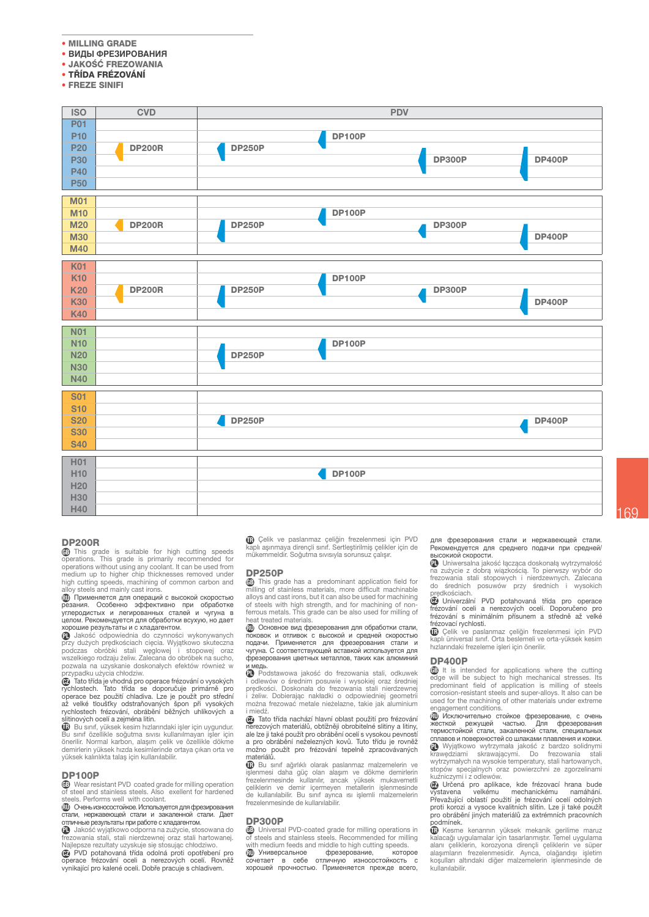- MILLING GRADE
- ВИДЫ ФРЕЗИРОВАНИЯ
- · JAKOŚĆ FREZOWANIA
- TŘÍDA FRÉZOVÁNÍ
- FREZE SINIFI



#### **DP200R**

**GB** This grade is suitable for high cutting speeds operations. This grade is primarily recommended for operations without using any coolant. It can be used from medium up to higher chip thicknesses removed under high cutting speeds, machining of common carbon and<br>alloy steels and mainly cast irons.

противали плати, частности<br>применяется для операций с высокой скоростью<br>углеродистых и легированных сталей и чугуна в целом. Рекомендуется для обработки всухую, но дает

хорошие результаты и с хладагентом.<br>• Jakość odpowiednia do czynności wykonywanych przy dużych prędkościach cięcia. Wyjątkowo skuteczna<br>podczas obróbki stali węglowej i stopowej oraz<br>wszelkiego rodzaju żeliw. Zalecana do obróbek na sucho, pozwala na uzyskanie doskonałych efektów również w przypadku użycia chłodziw.

Tato třída je vhodná pro operace frézování o vysokých  $\overline{m}$ výchlostech. Tato třída se doporučuje primárně pro<br>operace bez použití chladiva. Lze je použít pro střední<br>až velké tloušťky odstraňovaných špon při vysokých rychlostech frézování, obrábění běžných uhlíkových a slitinových ocelí a zeiména litin.

Bu sınıf, yüksek kesim hızlarındaki işler için uygundur. Bu sınıf özellikle soğutma sıvısı kullanılmayan işler için Sonerilir. Normal karbon, alaşım çelik ve özellikle dökme<br>demirlerin yüksek hızda kesimlerinde ortaya çıkan orta ve yüksek kalınlıkta talaş için kullanılabilir.

#### **DP100P**

**69** Wear resistant PVD coated grade for milling operation<br>of steel and stainless steels. Also exellent for hardened steels Performs well with coolant

**ПО Очень износостойкое. Используется для фрезирования** стали, нержавеющей стали и закаленной стали. Дает<br>отличные результаты при работе с хладагентом.

1 Jakość wyjątkowo odporna na zużycie, stosowana do<br>frezowania stali, stali nierdzewnej oraz stali hartowanej. Najlepsze rezultaty uzyskuje się stosując chłodziwo.<br>
P PVD potahovaná třída odolná proti opotřebení pro

operace frézování oceli a nerezových ocelí. Rovněž<br>vynikající pro kalené oceli. Dobře pracuje s chladivem.

**G** Çelik ve paslanmaz çeliğin frezelenmesi için PVD<br>kaplı aşınmaya dirençli sınıf. Sertleştirilmiş çelikler için de mükemmeldir. Soğutma sıvısıyla sorunsuz çalışır.

#### **DD250D**

**GB** This grade has a predominant application field for milling of stainless materials, more difficult machinable alloys and cast irons, but it can also be used for machining of steels with high strength, and for machining of non ferrous metals. This grade can be also used for milling of heat treated materials

псатнество платенать.<br>ПО Основное вид фрезерования для обработки стали,<br>поковок и отливок с высокой и средней скоростью поковок и отливок с высокой и средней скоростью<br>поковок и отливок с высокой и средней скоростью<br>подачи. Применяется для фрезерования стали и чугуна. С соответствующей вставкой используется для фрезерования цветных металлов, таких как алюминий ~~~<br>∙мед⊦

**D** Podstawowa jakość do frezowania stali, odkuweł i odlewów o średnim posuwie i wysokiej oraz średnie<br>predkości. Doskonała do frezowania stali nierdzewne i żeliw. Dobierając nakładki o odpowiedniej geometri można frezować metale nieżelazne, takie jak aluminium i miedź

D Tato třída nachází hlavní oblast použití pro frézování merezových materiálů, obtížněji obrobitelné slitiny, ale lize ji také použít pro obrábění ocelí s vysokou pevností a pro obrábění neželezných kovů. Tuto třídu je rovněž možno použít pro frézování tepelně zpracovávaných materiáln

**17** Bu sinif ağırlıklı olarak paslanmaz malzemelerin ve işlenmesi daha güç olan alaşım ve dökme demirlerin<br>frezelenmesinde kullanılır, ancak yüksek mukavemetli celiklerin ve demir içlermeyen metallerin işlenmesinde<br>de kullanılabilir. Bu sınıf ayrıca ısı islemli malzemelerin frezelenmesinde de kullanılabilir

#### **DP300P**

**DP300P**<br> **(B)** Universal PVD-coated grade for milling operations in<br>
of steels and stainless steels. Recommended for milling with medium feeds and middle to high cutting speeds.<br>**Ш** Универсальное фрезерование, котор

или пословить со само писали с платно и страние, которое сочетает в себе отличную износостойкость с<br>сочетает в себе отличную износостойкость с<br>хорошей прочностью. Применяется прежде всего,

для фрезерования стали и нержавеющей стали.<br>Рекомендуется для среднего подачи при средней/ высокиой скорости.

**D** Universalna jakość łącząca doskonałą wytrzymałość na zużycie z dobrą wiązkością. To pierwszy wybór do frezowania stali stopowych i nierdzewnych. Zalecana średnich posuwów przy średnich i wysokich do *-*<br>redkościach

predkościach.<br>@ Univerzální PVD potahovaná třída pro operace frézování oceli a nerezových ocelí. Doporučeno pro frézování s minimálním přísunem a středně až velké frézovací rychlosti.

G Çelik ve paslanmaz çeliğin frezelenmesi için PVD<br>kaplı üniversal sınıf. Orta beslemeli ve orta-yüksek kesim hızlarındaki frezeleme işleri için önerilir.

#### **DP400P**

(FB) It is intended for applications where the cutting edge will be subject to high mechanical stresses. Its<br>predominant field of application is milling of steels corrosion-resistant steels and super-alloys. It also can be used for the machining of other materials under extreme engagement conditions

**(10)** Исключительно стойкое фрезерование, с очень иссткой режущей частью. Для фрезерования<br>термостойкой стали, закаленной стали, специальных reportionism chain, заканенной стали, снещальных<br>crimatos и поверхностей со шлаками плавления и ковки.<br>
• Wyjątkowo wytrzymała jakość z bardzo solidnymi<br>krawędziami skrawającymi. Do frezowania stali<br>wytrzymałych na wysoki stopów specjalnych oraz powierzchni ze zgorzelinami<br>kuźniczymi i z odlewów.

Načiniczynin z odlewow.<br> **Christian Strand Diversion Strand Diversion Constrainer Strand Diversion Strand Diversion Prevažující oblastí použití je frézování ocelí odolných proti korozi a vysoce kvalitních slitin.** Lze ji t pro obrábění jiných materiálů za extrémních pracovních podmínek.

Ga Kesme kenarının yüksek mekanik gerilime maruz<br>kalacağı uygulamalar için tasarlanmıştır. Temel uygulama Atalogui vygnamatan van tasamatan peliklerin ve süper<br>alanı çeliklerin, korozyona dirençli çeliklerin ve süper<br>alaşımların frezelenmesidir. Ayrıca, olağandışı işletim koşulları altındaki diğer malzemelerin işlenmesinde de kullanılabilir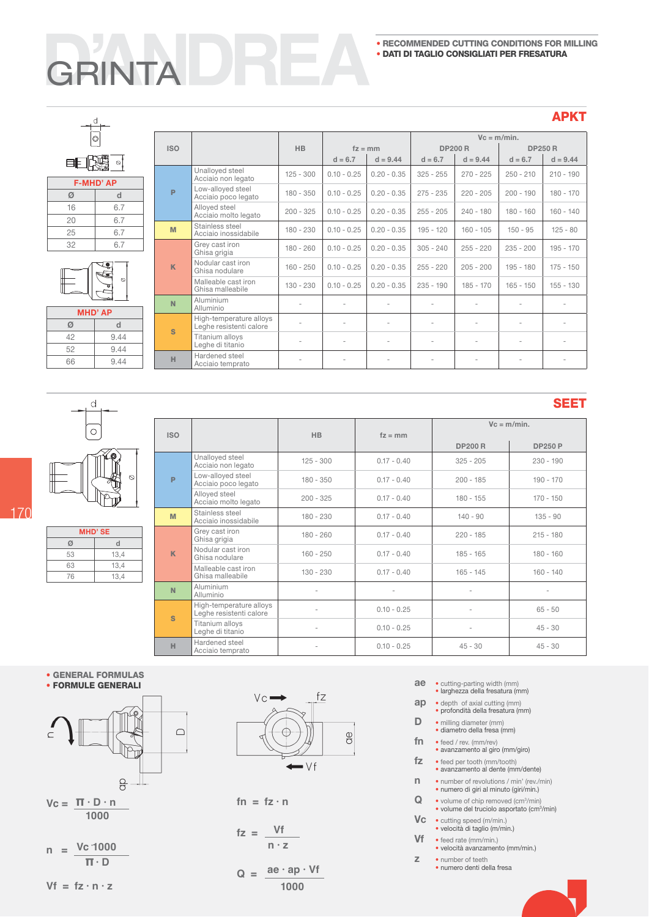# **GRINTA**

#### **APKT**

| Ø  |                  |  |  |  |  |  |
|----|------------------|--|--|--|--|--|
|    | <b>F-MHD' AP</b> |  |  |  |  |  |
| Ø  | d                |  |  |  |  |  |
| 16 | 6.7              |  |  |  |  |  |
| 20 | 6.7              |  |  |  |  |  |
| 25 | 6.7              |  |  |  |  |  |
| 32 | 6.7              |  |  |  |  |  |

 $\begin{array}{c}\n\downarrow \\
\hline\n\downarrow \\
\hline\n\end{array}$ 

| Ø |  |
|---|--|
|   |  |

| <b>MHD' AP</b> |      |  |  |  |  |  |
|----------------|------|--|--|--|--|--|
| Ø              | d    |  |  |  |  |  |
| 42             | 9.44 |  |  |  |  |  |
| 52             | 9.44 |  |  |  |  |  |
| 66             | 9.44 |  |  |  |  |  |

|              |                                                    |             |               |               |                          | $Vc = m/min.$            |             |                |
|--------------|----------------------------------------------------|-------------|---------------|---------------|--------------------------|--------------------------|-------------|----------------|
| <b>ISO</b>   |                                                    | <b>HB</b>   |               | $fz = mm$     | <b>DP200 R</b>           |                          |             | <b>DP250 R</b> |
|              |                                                    |             | $d = 6.7$     | $d = 9.44$    | $d = 6.7$                | $d = 9.44$               | $d = 6.7$   | $d = 9.44$     |
|              | Unalloyed steel<br>Acciaio non legato              | $125 - 300$ | $0.10 - 0.25$ | $0.20 - 0.35$ | $325 - 255$              | $270 - 225$              | $250 - 210$ | $210 - 190$    |
| P            | Low-alloyed steel<br>Acciaio poco legato           | $180 - 350$ | $0.10 - 0.25$ | $0.20 - 0.35$ | $275 - 235$              | $220 - 205$              | $200 - 190$ | $180 - 170$    |
|              | Alloyed steel<br>Acciaio molto legato              | $200 - 325$ | $0.10 - 0.25$ | $0.20 - 0.35$ | $255 - 205$              | $240 - 180$              | $180 - 160$ | $160 - 140$    |
| M            | Stainless steel<br>Acciaio inossidabile            | $180 - 230$ | $0.10 - 0.25$ | $0.20 - 0.35$ | $195 - 120$              | $160 - 105$              | $150 - 95$  | $125 - 80$     |
|              | Grey cast iron<br>Ghisa grigia                     | $180 - 260$ | $0.10 - 0.25$ | $0.20 - 0.35$ | $305 - 240$              | $255 - 220$              | $235 - 200$ | $195 - 170$    |
| $\mathsf{K}$ | Nodular cast iron<br>Ghisa nodulare                | $160 - 250$ | $0.10 - 0.25$ | $0.20 - 0.35$ | $255 - 220$              | $205 - 200$              | $195 - 180$ | $175 - 150$    |
|              | Malleable cast iron<br>Ghisa malleabile            | $130 - 230$ | $0.10 - 0.25$ | $0.20 - 0.35$ | $235 - 190$              | $185 - 170$              | $165 - 150$ | $155 - 130$    |
| N            | Aluminium<br>Alluminio                             | ٠           | ٠             |               |                          | ٠                        | ٠           | ٠              |
| <b>S</b>     | High-temperature alloys<br>Leghe resistenti calore | ٠           | ٠             | ÷             | $\sim$                   | ٠                        | ٠           | ٠              |
|              | Titanium alloys<br>Leghe di titanio                | $\sim$      | ٠             |               | $\overline{\phantom{a}}$ | $\overline{\phantom{a}}$ | ٠           | $\sim$         |
| H            | Hardened steel<br>Acciaio temprato                 |             |               |               |                          |                          |             |                |



 $\mathsf{d}$ 

| <b>Service Service</b> |  |
|------------------------|--|

| <b>MHD'SE</b> |      |  |  |  |  |  |
|---------------|------|--|--|--|--|--|
| Ø             | d    |  |  |  |  |  |
| 53            | 13,4 |  |  |  |  |  |
| 63            | 13,4 |  |  |  |  |  |
| 76            | 13,4 |  |  |  |  |  |

|            |                                                    |             |                          |                | SEET           |  |  |
|------------|----------------------------------------------------|-------------|--------------------------|----------------|----------------|--|--|
|            |                                                    |             |                          | $Vc = m/min$ . |                |  |  |
| <b>ISO</b> |                                                    | <b>HB</b>   | $fz = mm$                | <b>DP200 R</b> | <b>DP250 P</b> |  |  |
|            | Unalloyed steel<br>Acciaio non legato              | $125 - 300$ | $0.17 - 0.40$            | $325 - 205$    | $230 - 190$    |  |  |
| P          | Low-alloyed steel<br>Acciaio poco legato           | $180 - 350$ | $0.17 - 0.40$            | $200 - 185$    | $190 - 170$    |  |  |
|            | Alloyed steel<br>Acciaio molto legato              | $200 - 325$ | $0.17 - 0.40$            | $180 - 155$    | $170 - 150$    |  |  |
| M          | Stainless steel<br>Acciaio inossidabile            | $180 - 230$ | $0.17 - 0.40$            | $140 - 90$     | $135 - 90$     |  |  |
|            | Grey cast iron<br>Ghisa grigia                     | $180 - 260$ | $0.17 - 0.40$            | $220 - 185$    | $215 - 180$    |  |  |
| K          | Nodular cast iron<br>Ghisa nodulare                | $160 - 250$ | $0.17 - 0.40$            | $185 - 165$    | $180 - 160$    |  |  |
|            | Malleable cast iron<br>Ghisa malleabile            | $130 - 230$ | $0.17 - 0.40$            | $165 - 145$    | $160 - 140$    |  |  |
| N          | Aluminium<br>Alluminio                             | ÷           | $\overline{\phantom{m}}$ | ٠              |                |  |  |
| S          | High-temperature alloys<br>Leghe resistenti calore | ÷           | $0.10 - 0.25$            |                | $65 - 50$      |  |  |
|            | Titanium alloys<br>Leghe di titanio                | ÷           | $0.10 - 0.25$            |                | $45 - 30$      |  |  |
| H          | Hardened steel<br>Acciaio temprato                 | ÷           | $0.10 - 0.25$            | $45 - 30$      | $45 - 30$      |  |  |

#### ÷ GENERAL FORMULAS

÷ FORMULE GENERALI



 $Vc = \Pi \cdot D \cdot n$  **1000**

$$
n = \frac{Vc \cdot 1000}{\pi \cdot D}
$$

 $Vf = fz \cdot n \cdot z$ 



$$
fn = fz \cdot n
$$

$$
fz = \frac{Vf}{n \cdot z}
$$

$$
Q = \frac{ae \cdot ap \cdot Vf}{1000}
$$

- 
- ae · cutting-parting width (mm)<br>
· larghezza della fresatura (mm)
- ap · depth of axial cutting (mm) · profondità della fresatura (mm)
	-
- **D** milling diameter (mm)<br>• diametro della fresa (mm)
- $fn$   $\cdot$  feed / rev. (mm/rev)
- · avanzamento al giro (mm/giro)  $fz \cdot \text{feed per tooth (mm/tooth)}$ 
	- s avanzamento al dente (mm/dente
- **n** s number of revolutions / min' (rev./min)<br>
s numero di giri al minuto (giri/min.)
	-
- $\mathbf Q$   $\bullet$  volume of chip removed (cm $3/\text{min}$ )
	- volume del truciolo asportato (cm<sup>3</sup>/min)
- VC · cutting speed (m/min.)<br>
velocità di taglio (m/min.)
- $Vf \cdot \text{feed rate (mm/min.)}$ 
	- · velocità avanzamento (mm/min.)
- **z** number of teeth<br>• numero denti della fresa
	-